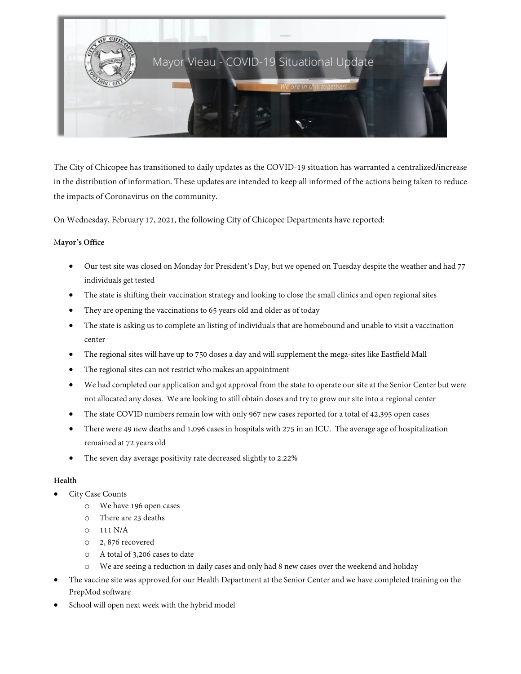

The City of Chicopee has transitioned to daily updates as the COVID-19 situation has warranted a centralized/increase in the distribution of information. These updates are intended to keep all informed of the actions being taken to reduce the impacts of Coronavirus on the community.

On Wednesday, February 17, 2021, the following City of Chicopee Departments have reported:

## M**ayor's Office**

- Our test site was closed on Monday for President's Day, but we opened on Tuesday despite the weather and had 77 individuals get tested
- The state is shifting their vaccination strategy and looking to close the small clinics and open regional sites
- They are opening the vaccinations to 65 years old and older as of today
- The state is asking us to complete an listing of individuals that are homebound and unable to visit a vaccination center
- The regional sites will have up to 750 doses a day and will supplement the mega-sites like Eastfield Mall
- The regional sites can not restrict who makes an appointment
- We had completed our application and got approval from the state to operate our site at the Senior Center but were not allocated any doses. We are looking to still obtain doses and try to grow our site into a regional center
- The state COVID numbers remain low with only 967 new cases reported for a total of 42,395 open cases
- There were 49 new deaths and 1,096 cases in hospitals with 275 in an ICU. The average age of hospitalization remained at 72 years old
- The seven day average positivity rate decreased slightly to 2.22%

# **Health**

- City Case Counts
	- o We have 196 open cases
	- o There are 23 deaths
	- o 111 N/A
	- o 2, 876 recovered
	- o A total of 3,206 cases to date
	- o We are seeing a reduction in daily cases and only had 8 new cases over the weekend and holiday
- The vaccine site was approved for our Health Department at the Senior Center and we have completed training on the PrepMod software
- School will open next week with the hybrid model